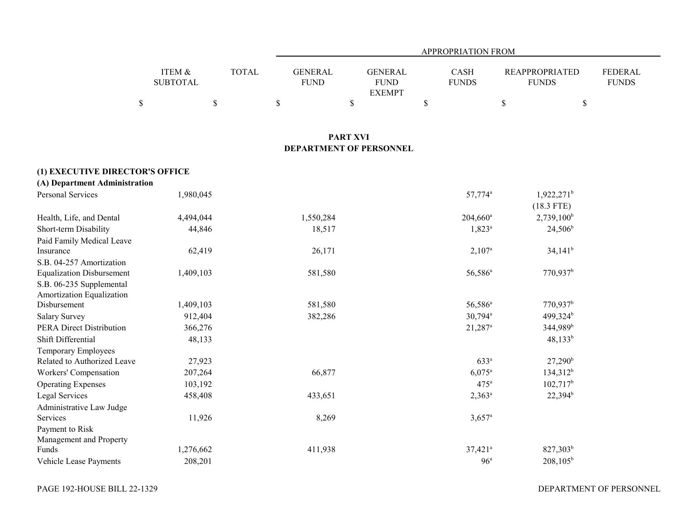|                 |              |             | <b>APPROPRIATION FROM</b> |              |                       |              |  |  |  |
|-----------------|--------------|-------------|---------------------------|--------------|-----------------------|--------------|--|--|--|
|                 |              |             |                           |              |                       |              |  |  |  |
| ITEM &          | <b>TOTAL</b> | GENERAL     | GENERAL                   | <b>CASH</b>  | <b>REAPPROPRIATED</b> | FEDERAL      |  |  |  |
| <b>SUBTOTAL</b> |              | <b>FUND</b> | <b>FUND</b>               | <b>FUNDS</b> | <b>FUNDS</b>          | <b>FUNDS</b> |  |  |  |
|                 |              |             | <b>EXEMPT</b>             |              |                       |              |  |  |  |
|                 |              |             |                           |              |                       |              |  |  |  |

## **PART XVI DEPARTMENT OF PERSONNEL**

# **(1) EXECUTIVE DIRECTOR'S OFFICE**

| (A) Department Administration    |           |           |                       |                        |
|----------------------------------|-----------|-----------|-----------------------|------------------------|
| Personal Services                | 1,980,045 |           | 57,774 <sup>a</sup>   | $1,922,271^b$          |
|                                  |           |           |                       | $(18.3$ FTE)           |
| Health, Life, and Dental         | 4,494,044 | 1,550,284 | $204,660^{\circ}$     | $2,739,100^b$          |
| Short-term Disability            | 44,846    | 18,517    | $1,823^{\circ}$       | $24,506^b$             |
| Paid Family Medical Leave        |           |           |                       |                        |
| Insurance                        | 62,419    | 26,171    | $2,107^{\circ}$       | $34,141^b$             |
| S.B. 04-257 Amortization         |           |           |                       |                        |
| <b>Equalization Disbursement</b> | 1,409,103 | 581,580   | $56,586^a$            | $770,937$ <sup>b</sup> |
| S.B. 06-235 Supplemental         |           |           |                       |                        |
| Amortization Equalization        |           |           |                       |                        |
| Disbursement                     | 1,409,103 | 581,580   | 56,586 <sup>a</sup>   | 770,937 <sup>b</sup>   |
| <b>Salary Survey</b>             | 912,404   | 382,286   | $30,794$ <sup>a</sup> | 499,324 <sup>b</sup>   |
| PERA Direct Distribution         | 366,276   |           | $21,287$ <sup>a</sup> | 344,989 <sup>b</sup>   |
| Shift Differential               | 48,133    |           |                       | $48,133^b$             |
| Temporary Employees              |           |           |                       |                        |
| Related to Authorized Leave      | 27,923    |           | 633 <sup>a</sup>      | $27,290^{\rm b}$       |
| Workers' Compensation            | 207,264   | 66,877    | $6,075^{\circ}$       | $134,312^b$            |
| <b>Operating Expenses</b>        | 103,192   |           | 475 <sup>a</sup>      | $102,717$ <sup>b</sup> |
| Legal Services                   | 458,408   | 433,651   | $2,363^{\circ}$       | $22,394^b$             |
| Administrative Law Judge         |           |           |                       |                        |
| Services                         | 11,926    | 8,269     | $3,657$ <sup>a</sup>  |                        |
| Payment to Risk                  |           |           |                       |                        |
| Management and Property          |           |           |                       |                        |
| Funds                            | 1,276,662 | 411,938   | $37,421$ <sup>a</sup> | $827,303^b$            |
| Vehicle Lease Payments           | 208,201   |           | 96 <sup>a</sup>       | $208,105^{\rm b}$      |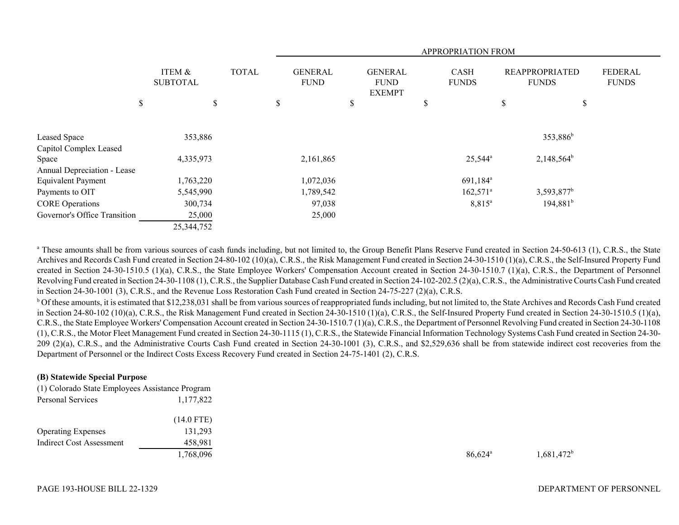|                              |                           |              |                               |                                                | APPROPRIATION FROM     |                                       |                         |
|------------------------------|---------------------------|--------------|-------------------------------|------------------------------------------------|------------------------|---------------------------------------|-------------------------|
|                              | ITEM &<br><b>SUBTOTAL</b> | <b>TOTAL</b> | <b>GENERAL</b><br><b>FUND</b> | <b>GENERAL</b><br><b>FUND</b><br><b>EXEMPT</b> | CASH<br><b>FUNDS</b>   | <b>REAPPROPRIATED</b><br><b>FUNDS</b> | FEDERAL<br><b>FUNDS</b> |
| \$                           |                           | \$           | \$<br>\$                      |                                                | \$                     | \$                                    | \$                      |
| Leased Space                 | 353,886                   |              |                               |                                                |                        | 353,886 <sup>b</sup>                  |                         |
| Capitol Complex Leased       |                           |              |                               |                                                |                        |                                       |                         |
| Space                        | 4,335,973                 |              | 2,161,865                     |                                                | $25,544^{\circ}$       | $2,148,564^b$                         |                         |
| Annual Depreciation - Lease  |                           |              |                               |                                                |                        |                                       |                         |
| <b>Equivalent Payment</b>    | 1,763,220                 |              | 1,072,036                     |                                                | 691,184 <sup>a</sup>   |                                       |                         |
| Payments to OIT              | 5,545,990                 |              | 1,789,542                     |                                                | $162,571$ <sup>a</sup> | 3,593,877 <sup>b</sup>                |                         |
| <b>CORE Operations</b>       | 300,734                   |              | 97,038                        |                                                | $8,815^{\circ}$        | $194,881^b$                           |                         |
| Governor's Office Transition | 25,000                    |              | 25,000                        |                                                |                        |                                       |                         |
|                              | 25,344,752                |              |                               |                                                |                        |                                       |                         |

<sup>a</sup> These amounts shall be from various sources of cash funds including, but not limited to, the Group Benefit Plans Reserve Fund created in Section 24-50-613 (1), C.R.S., the State Archives and Records Cash Fund created in Section 24-80-102 (10)(a), C.R.S., the Risk Management Fund created in Section 24-30-1510 (1)(a), C.R.S., the Self-Insured Property Fund created in Section 24-30-1510.5 (1)(a), C.R.S., the State Employee Workers' Compensation Account created in Section 24-30-1510.7 (1)(a), C.R.S., the Department of Personnel Revolving Fund created in Section 24-30-1108 (1), C.R.S., the Supplier Database Cash Fund created in Section 24-102-202.5 (2)(a), C.R.S., the Administrative Courts Cash Fund created in Section 24-30-1001 (3), C.R.S., and the Revenue Loss Restoration Cash Fund created in Section 24-75-227 (2)(a), C.R.S.

<sup>b</sup> Of these amounts, it is estimated that \$12,238,031 shall be from various sources of reappropriated funds including, but not limited to, the State Archives and Records Cash Fund created in Section 24-80-102 (10)(a), C.R.S., the Risk Management Fund created in Section 24-30-1510 (1)(a), C.R.S., the Self-Insured Property Fund created in Section 24-30-1510.5 (1)(a), C.R.S., the State Employee Workers' Compensation Account created in Section 24-30-1510.7 (1)(a), C.R.S., the Department of Personnel Revolving Fund created in Section 24-30-1108 (1), C.R.S., the Motor Fleet Management Fund created in Section 24-30-1115 (1), C.R.S., the Statewide Financial Information Technology Systems Cash Fund created in Section 24-30- 209 (2)(a), C.R.S., and the Administrative Courts Cash Fund created in Section 24-30-1001 (3), C.R.S., and \$2,529,636 shall be from statewide indirect cost recoveries from the Department of Personnel or the Indirect Costs Excess Recovery Fund created in Section 24-75-1401 (2), C.R.S.

### **(B) Statewide Special Purpose**

(1) Colorado State Employees Assistance Program Personal Services 1,177,822

|                           | $(14.0$ FTE) |
|---------------------------|--------------|
| <b>Operating Expenses</b> | 131.293      |
| Indirect Cost Assessment  | 458.981      |
|                           | 1,768,096    |

 $1,768,096$   $86,624$ <sup>a</sup>  $1,681,472$ <sup>b</sup>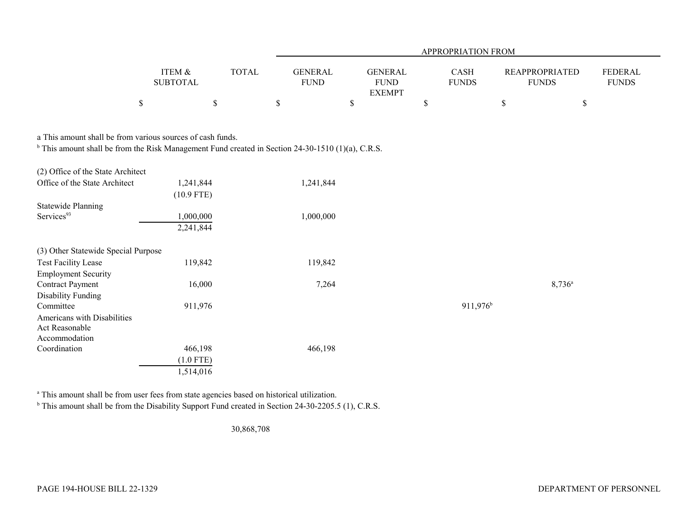|                                                                                                              |                           |              |                               |                                                | <b>APPROPRIATION FROM</b> |                                       |                 |                                |
|--------------------------------------------------------------------------------------------------------------|---------------------------|--------------|-------------------------------|------------------------------------------------|---------------------------|---------------------------------------|-----------------|--------------------------------|
|                                                                                                              | ITEM &<br><b>SUBTOTAL</b> | <b>TOTAL</b> | <b>GENERAL</b><br><b>FUND</b> | <b>GENERAL</b><br><b>FUND</b><br><b>EXEMPT</b> | CASH<br><b>FUNDS</b>      | <b>REAPPROPRIATED</b><br><b>FUNDS</b> |                 | <b>FEDERAL</b><br><b>FUNDS</b> |
| \$                                                                                                           | \$                        |              | \$                            | \$                                             | \$                        | $\$$                                  | \$              |                                |
| a This amount shall be from various sources of cash funds.                                                   |                           |              |                               |                                                |                           |                                       |                 |                                |
| <sup>b</sup> This amount shall be from the Risk Management Fund created in Section 24-30-1510 (1)(a), C.R.S. |                           |              |                               |                                                |                           |                                       |                 |                                |
| (2) Office of the State Architect                                                                            |                           |              |                               |                                                |                           |                                       |                 |                                |
| Office of the State Architect                                                                                | 1,241,844<br>$(10.9$ FTE) |              | 1,241,844                     |                                                |                           |                                       |                 |                                |
| <b>Statewide Planning</b><br>Services <sup>93</sup>                                                          | 1,000,000<br>2,241,844    |              | 1,000,000                     |                                                |                           |                                       |                 |                                |
| (3) Other Statewide Special Purpose                                                                          |                           |              |                               |                                                |                           |                                       |                 |                                |
| <b>Test Facility Lease</b><br><b>Employment Security</b>                                                     | 119,842                   |              | 119,842                       |                                                |                           |                                       |                 |                                |
| <b>Contract Payment</b><br>Disability Funding                                                                | 16,000                    |              | 7,264                         |                                                |                           |                                       | $8,736^{\circ}$ |                                |
| Committee                                                                                                    | 911,976                   |              |                               |                                                | 911,976 <sup>b</sup>      |                                       |                 |                                |
| <b>Americans with Disabilities</b><br>Act Reasonable<br>Accommodation                                        |                           |              |                               |                                                |                           |                                       |                 |                                |
| Coordination                                                                                                 | 466,198                   |              | 466,198                       |                                                |                           |                                       |                 |                                |
|                                                                                                              | $(1.0$ FTE)<br>1,514,016  |              |                               |                                                |                           |                                       |                 |                                |
|                                                                                                              |                           |              |                               |                                                |                           |                                       |                 |                                |

a This amount shall be from user fees from state agencies based on historical utilization.

<sup>b</sup> This amount shall be from the Disability Support Fund created in Section 24-30-2205.5 (1), C.R.S.

30,868,708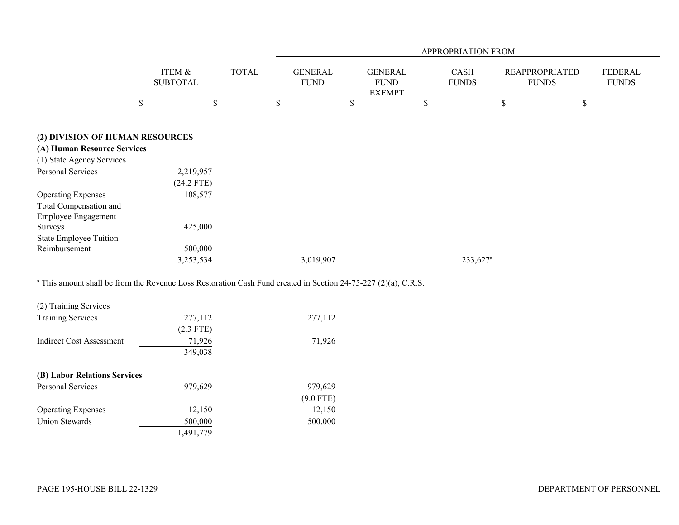|                                                                |                           |              |                               |                                                | APPROPRIATION FROM          |                                       |                                |
|----------------------------------------------------------------|---------------------------|--------------|-------------------------------|------------------------------------------------|-----------------------------|---------------------------------------|--------------------------------|
|                                                                | ITEM &<br><b>SUBTOTAL</b> | <b>TOTAL</b> | <b>GENERAL</b><br><b>FUND</b> | <b>GENERAL</b><br><b>FUND</b><br><b>EXEMPT</b> | <b>CASH</b><br><b>FUNDS</b> | <b>REAPPROPRIATED</b><br><b>FUNDS</b> | <b>FEDERAL</b><br><b>FUNDS</b> |
|                                                                | \$<br>\$                  |              | $\$$                          | \$                                             | S                           | \$                                    | \$                             |
| (2) DIVISION OF HUMAN RESOURCES<br>(A) Human Resource Services |                           |              |                               |                                                |                             |                                       |                                |
| (1) State Agency Services                                      |                           |              |                               |                                                |                             |                                       |                                |
| <b>Personal Services</b>                                       | 2,219,957<br>$(24.2$ FTE) |              |                               |                                                |                             |                                       |                                |
| <b>Operating Expenses</b>                                      | 108,577                   |              |                               |                                                |                             |                                       |                                |
| Total Compensation and<br>Employee Engagement                  |                           |              |                               |                                                |                             |                                       |                                |
| Surveys                                                        | 425,000                   |              |                               |                                                |                             |                                       |                                |
| State Employee Tuition<br>Reimbursement                        | 500,000                   |              |                               |                                                |                             |                                       |                                |
|                                                                | 3,253,534                 |              | 3,019,907                     |                                                | 233,627 <sup>a</sup>        |                                       |                                |

<sup>a</sup> This amount shall be from the Revenue Loss Restoration Cash Fund created in Section 24-75-227 (2)(a), C.R.S.

| (2) Training Services        |             |             |
|------------------------------|-------------|-------------|
| <b>Training Services</b>     | 277,112     | 277,112     |
|                              | $(2.3$ FTE) |             |
| Indirect Cost Assessment     | 71,926      | 71,926      |
|                              | 349,038     |             |
| (B) Labor Relations Services |             |             |
| <b>Personal Services</b>     | 979,629     | 979,629     |
|                              |             | $(9.0$ FTE) |
| <b>Operating Expenses</b>    | 12,150      | 12,150      |
| Union Stewards               | 500,000     | 500,000     |
|                              | 1,491,779   |             |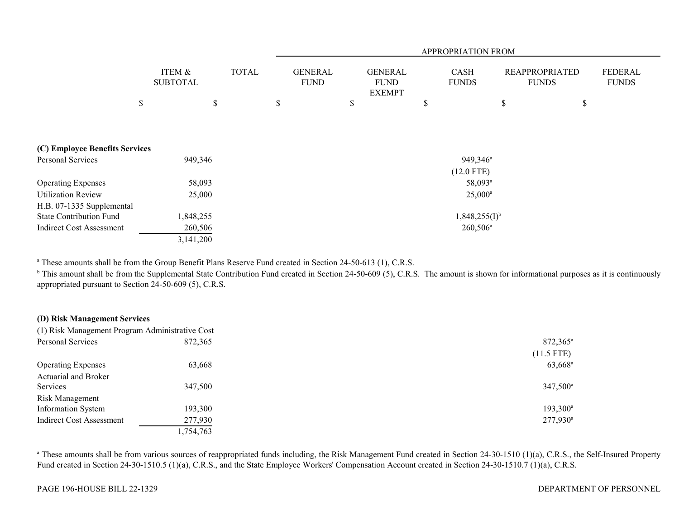|                                 |                           |              | APPROPRIATION FROM            |                                                |                           |                                       |                         |
|---------------------------------|---------------------------|--------------|-------------------------------|------------------------------------------------|---------------------------|---------------------------------------|-------------------------|
|                                 | ITEM &<br><b>SUBTOTAL</b> | <b>TOTAL</b> | <b>GENERAL</b><br><b>FUND</b> | <b>GENERAL</b><br><b>FUND</b><br><b>EXEMPT</b> | CASH<br><b>FUNDS</b>      | <b>REAPPROPRIATED</b><br><b>FUNDS</b> | FEDERAL<br><b>FUNDS</b> |
| \$                              | \$                        |              | \$                            | \$                                             | $\boldsymbol{\mathsf{S}}$ | \$                                    | \$                      |
|                                 |                           |              |                               |                                                |                           |                                       |                         |
| (C) Employee Benefits Services  |                           |              |                               |                                                |                           |                                       |                         |
| <b>Personal Services</b>        | 949,346                   |              |                               |                                                | 949,346 <sup>a</sup>      |                                       |                         |
|                                 |                           |              |                               |                                                | $(12.0$ FTE)              |                                       |                         |
| <b>Operating Expenses</b>       | 58,093                    |              |                               |                                                | 58,093 <sup>a</sup>       |                                       |                         |
| <b>Utilization Review</b>       | 25,000                    |              |                               |                                                | $25,000^{\rm a}$          |                                       |                         |
| H.B. 07-1335 Supplemental       |                           |              |                               |                                                |                           |                                       |                         |
| <b>State Contribution Fund</b>  | 1,848,255                 |              |                               |                                                | $1,848,255(I)^{b}$        |                                       |                         |
| <b>Indirect Cost Assessment</b> | 260,506                   |              |                               |                                                | $260,506^{\circ}$         |                                       |                         |
|                                 | 3,141,200                 |              |                               |                                                |                           |                                       |                         |

<sup>a</sup> These amounts shall be from the Group Benefit Plans Reserve Fund created in Section 24-50-613 (1), C.R.S.

<sup>b</sup> This amount shall be from the Supplemental State Contribution Fund created in Section 24-50-609 (5), C.R.S. The amount is shown for informational purposes as it is continuously appropriated pursuant to Section 24-50-609 (5), C.R.S.

## **(D) Risk Management Services**

| (1) Risk Management Program Administrative Cost |           |                      |
|-------------------------------------------------|-----------|----------------------|
| Personal Services                               | 872,365   | 872,365 <sup>a</sup> |
|                                                 |           | $(11.5$ FTE)         |
| <b>Operating Expenses</b>                       | 63,668    | 63,668 <sup>a</sup>  |
| Actuarial and Broker                            |           |                      |
| Services                                        | 347,500   | 347,500 <sup>a</sup> |
| <b>Risk Management</b>                          |           |                      |
| <b>Information System</b>                       | 193,300   | $193,300^a$          |
| <b>Indirect Cost Assessment</b>                 | 277,930   | $277,930^{\circ}$    |
|                                                 | 1,754,763 |                      |
|                                                 |           |                      |

<sup>a</sup> These amounts shall be from various sources of reappropriated funds including, the Risk Management Fund created in Section 24-30-1510 (1)(a), C.R.S., the Self-Insured Property Fund created in Section 24-30-1510.5 (1)(a), C.R.S., and the State Employee Workers' Compensation Account created in Section 24-30-1510.7 (1)(a), C.R.S.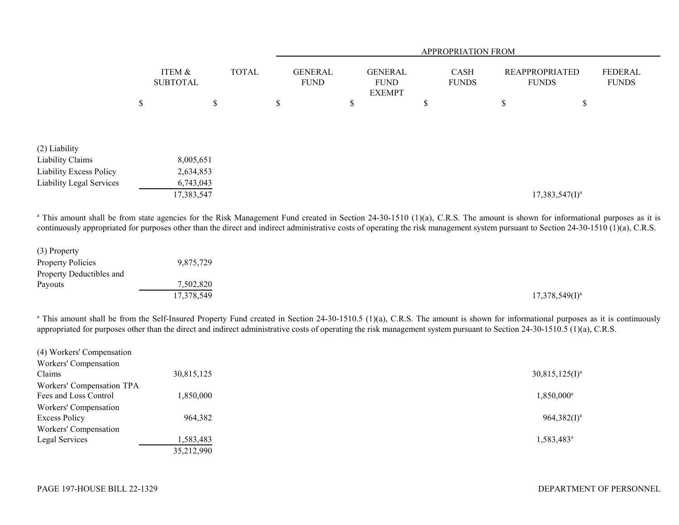|                          |                           |    |              | APPROPRIATION FROM            |    |                                                |    |                             |    |                                       |                                |
|--------------------------|---------------------------|----|--------------|-------------------------------|----|------------------------------------------------|----|-----------------------------|----|---------------------------------------|--------------------------------|
|                          | ITEM &<br><b>SUBTOTAL</b> |    | <b>TOTAL</b> | <b>GENERAL</b><br><b>FUND</b> |    | <b>GENERAL</b><br><b>FUND</b><br><b>EXEMPT</b> |    | <b>CASH</b><br><b>FUNDS</b> |    | <b>REAPPROPRIATED</b><br><b>FUNDS</b> | <b>FEDERAL</b><br><b>FUNDS</b> |
|                          | \$                        | \$ |              | \$                            | \$ |                                                | \$ |                             | \$ | P                                     |                                |
|                          |                           |    |              |                               |    |                                                |    |                             |    |                                       |                                |
| (2) Liability            |                           |    |              |                               |    |                                                |    |                             |    |                                       |                                |
| Liability Claims         | 8,005,651                 |    |              |                               |    |                                                |    |                             |    |                                       |                                |
| Liability Excess Policy  | 2,634,853                 |    |              |                               |    |                                                |    |                             |    |                                       |                                |
| Liability Legal Services | 6,743,043                 |    |              |                               |    |                                                |    |                             |    |                                       |                                |
|                          | 17,383,547                |    |              |                               |    |                                                |    |                             |    | $17,383,547(1)^a$                     |                                |

<sup>a</sup> This amount shall be from state agencies for the Risk Management Fund created in Section 24-30-1510 (1)(a), C.R.S. The amount is shown for informational purposes as it is continuously appropriated for purposes other than the direct and indirect administrative costs of operating the risk management system pursuant to Section 24-30-1510 (1)(a), C.R.S.

| (3) Property             |            |                   |
|--------------------------|------------|-------------------|
| <b>Property Policies</b> | 9,875,729  |                   |
| Property Deductibles and |            |                   |
| Payouts                  | 7,502,820  |                   |
|                          | 17,378,549 | $17,378,549(I)^a$ |

<sup>a</sup> This amount shall be from the Self-Insured Property Fund created in Section 24-30-1510.5 (1)(a), C.R.S. The amount is shown for informational purposes as it is continuously appropriated for purposes other than the direct and indirect administrative costs of operating the risk management system pursuant to Section 24-30-1510.5 (1)(a), C.R.S.

| 30,815,125 | $30,815,125(I)^a$      |
|------------|------------------------|
|            |                        |
| 1,850,000  | 1,850,000 <sup>a</sup> |
|            |                        |
| 964,382    | $964,382(I)^a$         |
|            |                        |
| 1,583,483  | $1,583,483^{\circ}$    |
| 35,212,990 |                        |
|            |                        |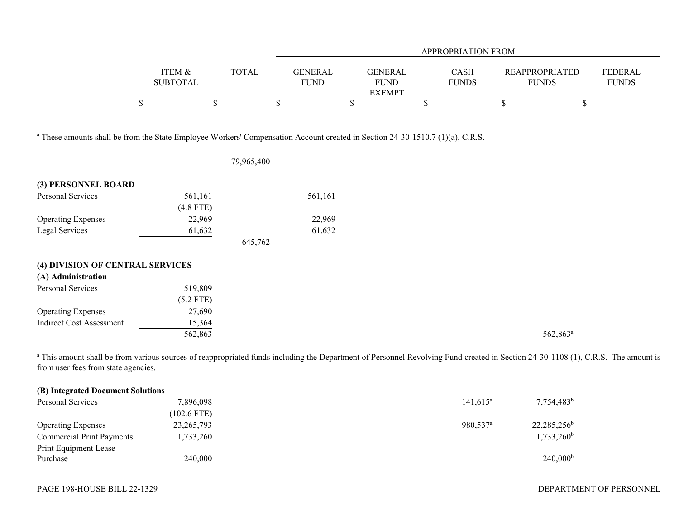|                                                                                                                                          |                                      |              |                               |                                                | APPROPRIATION FROM   |                                       |                         |
|------------------------------------------------------------------------------------------------------------------------------------------|--------------------------------------|--------------|-------------------------------|------------------------------------------------|----------------------|---------------------------------------|-------------------------|
|                                                                                                                                          | <b>ITEM &amp;</b><br><b>SUBTOTAL</b> | <b>TOTAL</b> | <b>GENERAL</b><br><b>FUND</b> | <b>GENERAL</b><br><b>FUND</b><br><b>EXEMPT</b> | CASH<br><b>FUNDS</b> | <b>REAPPROPRIATED</b><br><b>FUNDS</b> | FEDERAL<br><b>FUNDS</b> |
|                                                                                                                                          | $\mathbb S$                          | $\$$         | $\mathbb S$                   | \$                                             | \$                   | $\mathbb{S}$<br>\$                    |                         |
| <sup>a</sup> These amounts shall be from the State Employee Workers' Compensation Account created in Section 24-30-1510.7 (1)(a), C.R.S. |                                      | 79,965,400   |                               |                                                |                      |                                       |                         |
| (3) PERSONNEL BOARD                                                                                                                      |                                      |              |                               |                                                |                      |                                       |                         |
| <b>Personal Services</b>                                                                                                                 | 561,161<br>$(4.8$ FTE)               |              | 561,161                       |                                                |                      |                                       |                         |
| <b>Operating Expenses</b>                                                                                                                | 22,969                               |              | 22,969                        |                                                |                      |                                       |                         |
| Legal Services                                                                                                                           | 61,632                               | 645,762      | 61,632                        |                                                |                      |                                       |                         |
| (4) DIVISION OF CENTRAL SERVICES                                                                                                         |                                      |              |                               |                                                |                      |                                       |                         |
| (A) Administration                                                                                                                       |                                      |              |                               |                                                |                      |                                       |                         |
| Personal Services                                                                                                                        | 519,809<br>$(5.2$ FTE)               |              |                               |                                                |                      |                                       |                         |
| <b>Operating Expenses</b>                                                                                                                | 27,690                               |              |                               |                                                |                      |                                       |                         |
| <b>Indirect Cost Assessment</b>                                                                                                          | 15,364<br>562,863                    |              |                               |                                                |                      | 562,863 <sup>a</sup>                  |                         |

<sup>a</sup> This amount shall be from various sources of reappropriated funds including the Department of Personnel Revolving Fund created in Section 24-30-1108 (1), C.R.S. The amount is from user fees from state agencies.

| (B) Integrated Document Solutions |              |                      |                   |
|-----------------------------------|--------------|----------------------|-------------------|
| Personal Services                 | 7,896,098    | $141,615^{\circ}$    | $7,754,483^b$     |
|                                   | (102.6 FTE)  |                      |                   |
| <b>Operating Expenses</b>         | 23, 265, 793 | 980.537 <sup>a</sup> | $22,285,256^b$    |
| <b>Commercial Print Payments</b>  | 1,733,260    |                      | $1,733,260^b$     |
| Print Equipment Lease             |              |                      |                   |
| Purchase                          | 240,000      |                      | $240,000^{\rm b}$ |

DEPARTMENT OF PERSONNEL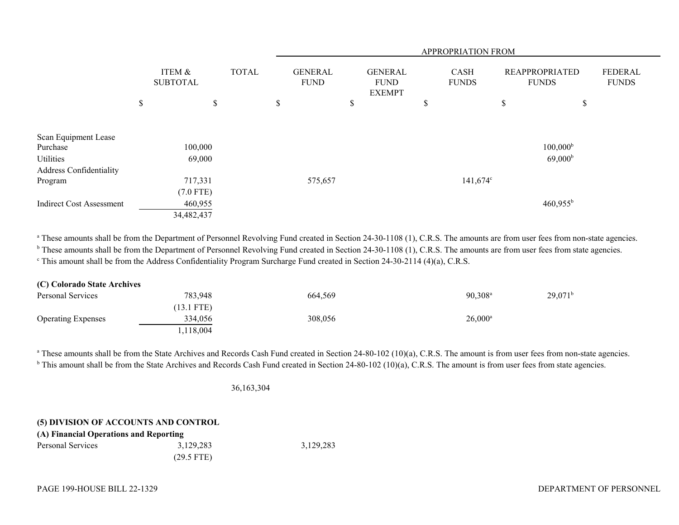|                                 |                           |              |                               |                                                |   | APPROPRIATION FROM          |                                       |                                |
|---------------------------------|---------------------------|--------------|-------------------------------|------------------------------------------------|---|-----------------------------|---------------------------------------|--------------------------------|
|                                 | ITEM &<br><b>SUBTOTAL</b> | <b>TOTAL</b> | <b>GENERAL</b><br><b>FUND</b> | <b>GENERAL</b><br><b>FUND</b><br><b>EXEMPT</b> |   | <b>CASH</b><br><b>FUNDS</b> | <b>REAPPROPRIATED</b><br><b>FUNDS</b> | <b>FEDERAL</b><br><b>FUNDS</b> |
|                                 | \$<br>\$                  |              | \$                            | \$                                             | D |                             | \$<br>\$                              |                                |
| Scan Equipment Lease            |                           |              |                               |                                                |   |                             |                                       |                                |
| Purchase                        | 100,000                   |              |                               |                                                |   |                             | $100,000^{\rm b}$                     |                                |
| Utilities                       | 69,000                    |              |                               |                                                |   |                             | 69,000 <sup>b</sup>                   |                                |
| Address Confidentiality         |                           |              |                               |                                                |   |                             |                                       |                                |
| Program                         | 717,331                   |              | 575,657                       |                                                |   | $141,674^{\circ}$           |                                       |                                |
|                                 | $(7.0$ FTE)               |              |                               |                                                |   |                             |                                       |                                |
| <b>Indirect Cost Assessment</b> | 460,955                   |              |                               |                                                |   |                             | $460,955^{\rm b}$                     |                                |
|                                 | 34,482,437                |              |                               |                                                |   |                             |                                       |                                |

<sup>a</sup> These amounts shall be from the Department of Personnel Revolving Fund created in Section 24-30-1108 (1), C.R.S. The amounts are from user fees from non-state agencies.

<sup>b</sup> These amounts shall be from the Department of Personnel Revolving Fund created in Section 24-30-1108 (1), C.R.S. The amounts are from user fees from state agencies.

<sup>c</sup> This amount shall be from the Address Confidentiality Program Surcharge Fund created in Section 24-30-2114 (4)(a), C.R.S.

| (C) Colorado State Archives |              |         |                       |                       |
|-----------------------------|--------------|---------|-----------------------|-----------------------|
| Personal Services           | 783,948      | 664,569 | $90.308$ <sup>a</sup> | $29,071$ <sup>b</sup> |
|                             | $(13.1$ FTE) |         |                       |                       |
| <b>Operating Expenses</b>   | 334,056      | 308,056 | $26,000^{\circ}$      |                       |
|                             | 1,118,004    |         |                       |                       |

<sup>a</sup> These amounts shall be from the State Archives and Records Cash Fund created in Section 24-80-102 (10)(a), C.R.S. The amount is from user fees from non-state agencies.  $b$  This amount shall be from the State Archives and Records Cash Fund created in Section 24-80-102 (10)(a), C.R.S. The amount is from user fees from state agencies.

36,163,304

## **(5) DIVISION OF ACCOUNTS AND CONTROL**

| (A) Financial Operations and Reporting |              |           |  |
|----------------------------------------|--------------|-----------|--|
| Personal Services                      | 3.129.283    | 3,129,283 |  |
|                                        | $(29.5$ FTE) |           |  |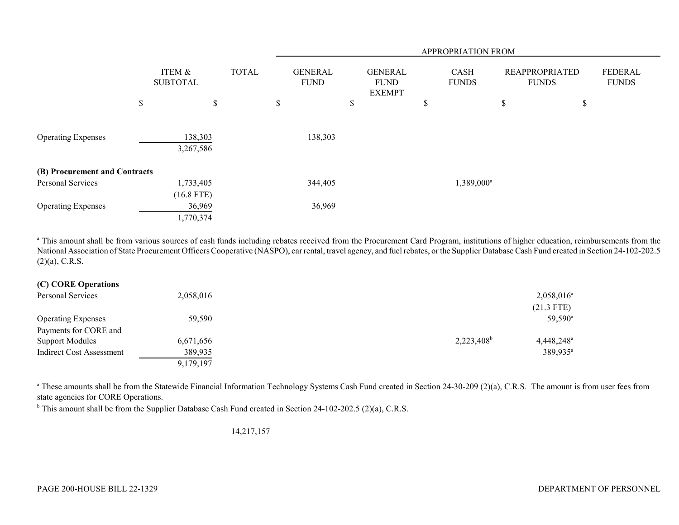|                               |                           |              |                               |                                                | APPROPRIATION FROM     |                                       |                         |
|-------------------------------|---------------------------|--------------|-------------------------------|------------------------------------------------|------------------------|---------------------------------------|-------------------------|
|                               | ITEM &<br><b>SUBTOTAL</b> | <b>TOTAL</b> | <b>GENERAL</b><br><b>FUND</b> | <b>GENERAL</b><br><b>FUND</b><br><b>EXEMPT</b> | CASH<br><b>FUNDS</b>   | <b>REAPPROPRIATED</b><br><b>FUNDS</b> | FEDERAL<br><b>FUNDS</b> |
|                               | \$<br>\$                  |              | \$                            | \$                                             | \$                     | \$<br>\$                              |                         |
| <b>Operating Expenses</b>     | 138,303<br>3,267,586      |              | 138,303                       |                                                |                        |                                       |                         |
| (B) Procurement and Contracts |                           |              |                               |                                                |                        |                                       |                         |
| Personal Services             | 1,733,405<br>$(16.8$ FTE) |              | 344,405                       |                                                | 1,389,000 <sup>a</sup> |                                       |                         |
| <b>Operating Expenses</b>     | 36,969<br>1,770,374       |              | 36,969                        |                                                |                        |                                       |                         |

<sup>a</sup> This amount shall be from various sources of cash funds including rebates received from the Procurement Card Program, institutions of higher education, reimbursements from the National Association of State Procurement Officers Cooperative (NASPO), car rental, travel agency, and fuel rebates, or the Supplier Database Cash Fund created in Section 24-102-202.5  $(2)(a)$ , C.R.S.

## **(C) CORE Operations**

| Personal Services         | 2,058,016 | $2,058,016^{\circ}$                       |
|---------------------------|-----------|-------------------------------------------|
|                           |           | $(21.3$ FTE)                              |
| <b>Operating Expenses</b> | 59,590    | $59,590^{\circ}$                          |
| Payments for CORE and     |           |                                           |
| <b>Support Modules</b>    | 6,671,656 | $2,223,408^b$<br>$4,448,248$ <sup>a</sup> |
| Indirect Cost Assessment  | 389,935   | 389,935 <sup>a</sup>                      |
|                           | 9,179,197 |                                           |

<sup>a</sup> These amounts shall be from the Statewide Financial Information Technology Systems Cash Fund created in Section 24-30-209 (2)(a), C.R.S. The amount is from user fees from state agencies for CORE Operations.

<sup>b</sup> This amount shall be from the Supplier Database Cash Fund created in Section 24-102-202.5 (2)(a), C.R.S.

14,217,157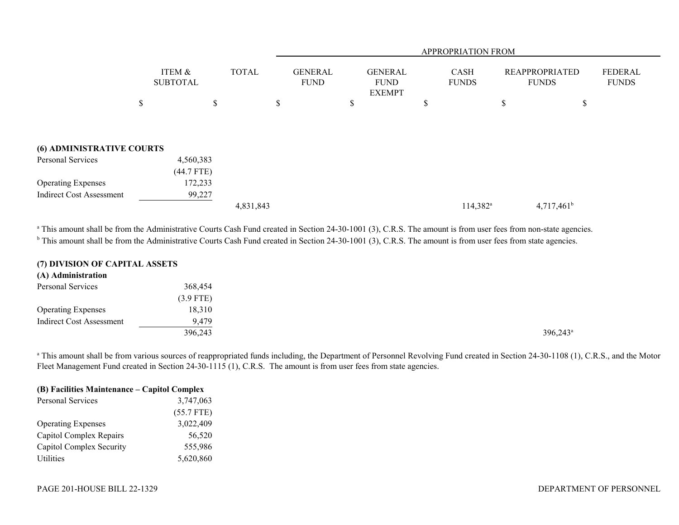|                                  |                           |              |                               |   |                                                |    | APPROPRIATION FROM   |                                       |                         |
|----------------------------------|---------------------------|--------------|-------------------------------|---|------------------------------------------------|----|----------------------|---------------------------------------|-------------------------|
|                                  | ITEM &<br><b>SUBTOTAL</b> | <b>TOTAL</b> | <b>GENERAL</b><br><b>FUND</b> |   | <b>GENERAL</b><br><b>FUND</b><br><b>EXEMPT</b> |    | CASH<br><b>FUNDS</b> | <b>REAPPROPRIATED</b><br><b>FUNDS</b> | FEDERAL<br><b>FUNDS</b> |
|                                  | \$                        | \$           | \$                            | S |                                                | Ъ. |                      | \$                                    | \$                      |
|                                  |                           |              |                               |   |                                                |    |                      |                                       |                         |
| <b>(6) ADMINISTRATIVE COURTS</b> |                           |              |                               |   |                                                |    |                      |                                       |                         |
| Personal Services                | 4,560,383                 |              |                               |   |                                                |    |                      |                                       |                         |
|                                  | $(44.7$ FTE)              |              |                               |   |                                                |    |                      |                                       |                         |
| <b>Operating Expenses</b>        | 172,233                   |              |                               |   |                                                |    |                      |                                       |                         |
| <b>Indirect Cost Assessment</b>  | 99,227                    |              |                               |   |                                                |    |                      |                                       |                         |
|                                  |                           | 4,831,843    |                               |   |                                                |    | 114,382 <sup>a</sup> | $4,717,461^b$                         |                         |

<sup>a</sup> This amount shall be from the Administrative Courts Cash Fund created in Section 24-30-1001 (3), C.R.S. The amount is from user fees from non-state agencies. <sup>b</sup> This amount shall be from the Administrative Courts Cash Fund created in Section 24-30-1001 (3), C.R.S. The amount is from user fees from state agencies.

### **(7) DIVISION OF CAPITAL ASSETS**

#### **(A) Administration**

| Personal Services         | 368,454     |  |                      |
|---------------------------|-------------|--|----------------------|
|                           | $(3.9$ FTE) |  |                      |
| <b>Operating Expenses</b> | 18,310      |  |                      |
| Indirect Cost Assessment  | 9,479       |  |                      |
|                           | 396,243     |  | 396,243 <sup>a</sup> |
|                           |             |  |                      |

<sup>a</sup> This amount shall be from various sources of reappropriated funds including, the Department of Personnel Revolving Fund created in Section 24-30-1108 (1), C.R.S., and the Motor Fleet Management Fund created in Section 24-30-1115 (1), C.R.S. The amount is from user fees from state agencies.

# **(B) Facilities Maintenance – Capitol Complex**

| Personal Services         | 3,747,063    |  |
|---------------------------|--------------|--|
|                           | $(55.7$ FTE) |  |
| <b>Operating Expenses</b> | 3,022,409    |  |
| Capitol Complex Repairs   | 56,520       |  |
| Capitol Complex Security  | 555,986      |  |
| Utilities                 | 5,620,860    |  |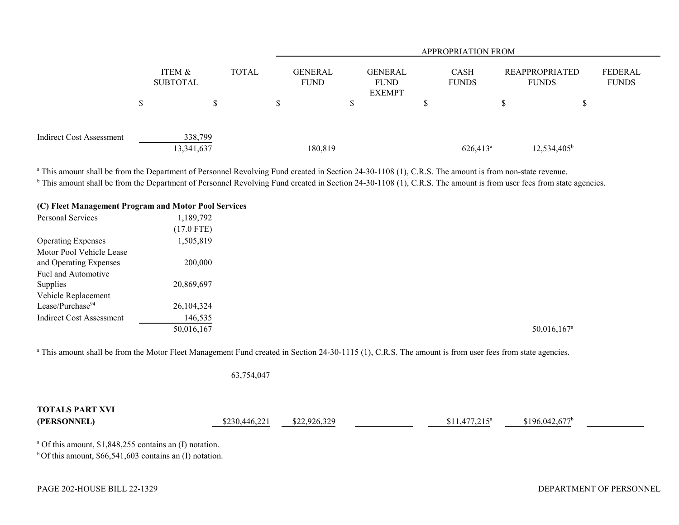|                          |               |                           |              |                               |                                                | <b>APPROPRIATION FROM</b>   |                                       |                         |
|--------------------------|---------------|---------------------------|--------------|-------------------------------|------------------------------------------------|-----------------------------|---------------------------------------|-------------------------|
|                          |               | ITEM &<br><b>SUBTOTAL</b> | <b>TOTAL</b> | <b>GENERAL</b><br><b>FUND</b> | <b>GENERAL</b><br><b>FUND</b><br><b>EXEMPT</b> | <b>CASH</b><br><b>FUNDS</b> | <b>REAPPROPRIATED</b><br><b>FUNDS</b> | FEDERAL<br><b>FUNDS</b> |
|                          | $\mathcal{D}$ |                           |              |                               |                                                |                             |                                       |                         |
| Indirect Cost Assessment |               | 338,799<br>13,341,637     |              | 180,819                       |                                                | $626,413^a$                 | $12,534,405^b$                        |                         |

<sup>a</sup> This amount shall be from the Department of Personnel Revolving Fund created in Section 24-30-1108 (1), C.R.S. The amount is from non-state revenue.

<sup>b</sup> This amount shall be from the Department of Personnel Revolving Fund created in Section 24-30-1108 (1), C.R.S. The amount is from user fees from state agencies.

|  | (C) Fleet Management Program and Motor Pool Services |
|--|------------------------------------------------------|
|  |                                                      |

| Personal Services               | 1,189,792    |                           |
|---------------------------------|--------------|---------------------------|
|                                 | $(17.0$ FTE) |                           |
| <b>Operating Expenses</b>       | 1,505,819    |                           |
| Motor Pool Vehicle Lease        |              |                           |
| and Operating Expenses          | 200,000      |                           |
| Fuel and Automotive             |              |                           |
| Supplies                        | 20,869,697   |                           |
| Vehicle Replacement             |              |                           |
| Lease/Purchase <sup>94</sup>    | 26,104,324   |                           |
| <b>Indirect Cost Assessment</b> | 146,535      |                           |
|                                 | 50,016,167   | $50,016,167$ <sup>a</sup> |

<sup>a</sup> This amount shall be from the Motor Fleet Management Fund created in Section 24-30-1115 (1), C.R.S. The amount is from user fees from state agencies.

63,754,047

| <b>TOTALS PART XVI</b><br>(PERSONNEL)                               | \$230,446,221 | \$22,926,329 | $$11.477.215^a$ | $$196.042.677$ <sup>b</sup> |  |
|---------------------------------------------------------------------|---------------|--------------|-----------------|-----------------------------|--|
| <sup>a</sup> Of this amount, $$1,848,255$ contains an (I) notation. |               |              |                 |                             |  |

 $b$  Of this amount, \$66,541,603 contains an (I) notation.